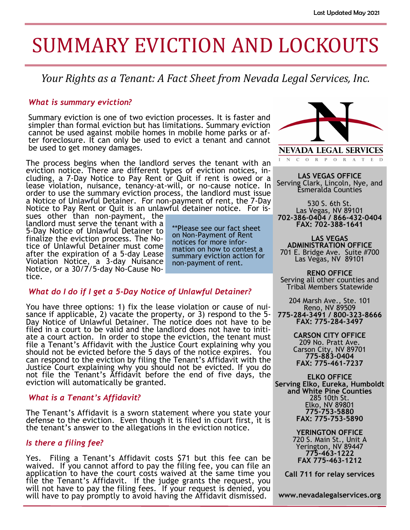# SUMMARY EVICTION AND LOCKOUTS

*Your Rights as a Tenant: A Fact Sheet from Nevada Legal Services, Inc.*

### *What is summary eviction?*

Summary eviction is one of two eviction processes. It is faster and simpler than formal eviction but has limitations. Summary eviction cannot be used against mobile homes in mobile home parks or after foreclosure. It can only be used to evict a tenant and cannot be used to get money damages.

The process begins when the landlord serves the tenant with an eviction notice. There are different types of eviction notices, including, a 7-Day Notice to Pay Rent or Quit if rent is owed or a lease violation, nuisance, tenancy-at-will, or no-cause notice. In order to use the summary eviction process, the landlord must issue a Notice of Unlawful Detainer. For non-payment of rent, the 7-Day Notice to Pay Rent or Quit is an unlawful detainer notice. For is-

sues other than non-payment, the landlord must serve the tenant with a 5-Day Notice of Unlawful Detainer to finalize the eviction process. The Notice of Unlawful Detainer must come after the expiration of a 5-day Lease Violation Notice, a 3-day Nuisance Notice, or a 30/7/5-day No-Cause Notice.

\*\*Please see our fact sheet on Non-Payment of Rent notices for more information on how to contest a summary eviction action for non-payment of rent.

#### *What do I do if I get a 5-Day Notice of Unlawful Detainer?*

You have three options: 1) fix the lease violation or cause of nuisance if applicable, 2) vacate the property, or 3) respond to the 5- Day Notice of Unlawful Detainer. The notice does not have to be filed in a court to be valid and the landlord does not have to initiate a court action. In order to stope the eviction, the tenant must file a Tenant's Affidavit with the Justice Court explaining why you should not be evicted before the 5 days of the notice expires. You can respond to the eviction by filing the Tenant's Affidavit with the Justice Court explaining why you should not be evicted. If you do not file the Tenant's Affidavit before the end of five days, the eviction will automatically be granted.

# *What is a Tenant's Affidavit?*

The Tenant's Affidavit is a sworn statement where you state your defense to the eviction. Even though it is filed in court first, it is the tenant's answer to the allegations in the eviction notice.

#### *Is there a filing fee?*

Yes. Filing a Tenant's Affidavit costs \$71 but this fee can be waived. If you cannot afford to pay the filing fee, you can file an application to have the court costs waived at the same time you file the Tenant's Affidavit. If the judge grants the request, you will not have to pay the filing fees. If your request is denied, you will have to pay promptly to avoid having the Affidavit dismissed.



N C O R P O R A T E D

**LAS VEGAS OFFICE** Serving Clark, Lincoln, Nye, and Esmeralda Counties

530 S. 6th St. Las Vegas, NV 89101 **702-386-0404 / 866-432-0404 FAX: 702-388-1641**

**LAS VEGAS ADMINISTRATION OFFICE** 701 E. Bridge Ave. Suite #700 Las Vegas, NV 89101

**RENO OFFICE** Serving all other counties and Tribal Members Statewide

204 Marsh Ave., Ste. 101 Reno, NV 89509 **775-284-3491 / 800-323-8666 FAX: 775-284-3497**

> **CARSON CITY OFFICE** 209 No. Pratt Ave. Carson City, NV 89701 **775-883-0404 FAX: 775-461-7237**

**ELKO OFFICE Serving Elko, Eureka, Humboldt and White Pine Counties** 285 10th St. Elko, NV 89801 **775-753-5880 FAX: 775-753-5890**

> **YERINGTON OFFICE** 720 S. Main St., Unit A Yerington, NV 89447 **775-463-1222 FAX 775-463-1212**

**Call 711 for relay services**

**www.nevadalegalservices.org**